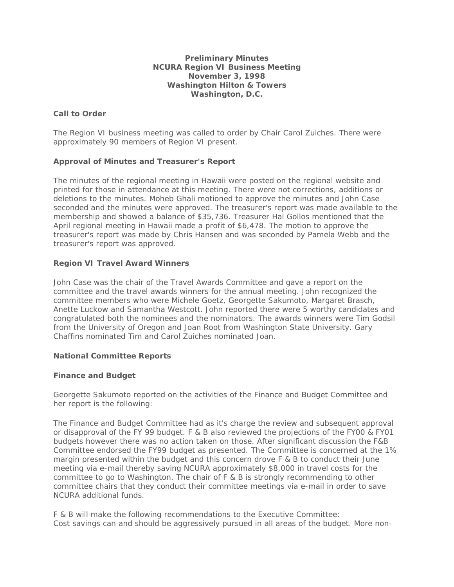#### **Preliminary Minutes NCURA Region VI Business Meeting November 3, 1998 Washington Hilton & Towers Washington, D.C.**

# **Call to Order**

The Region VI business meeting was called to order by Chair Carol Zuiches. There were approximately 90 members of Region VI present.

# **Approval of Minutes and Treasurer's Report**

The minutes of the regional meeting in Hawaii were posted on the regional website and printed for those in attendance at this meeting. There were not corrections, additions or deletions to the minutes. Moheb Ghali motioned to approve the minutes and John Case seconded and the minutes were approved. The treasurer's report was made available to the membership and showed a balance of \$35,736. Treasurer Hal Gollos mentioned that the April regional meeting in Hawaii made a profit of \$6,478. The motion to approve the treasurer's report was made by Chris Hansen and was seconded by Pamela Webb and the treasurer's report was approved.

# **Region VI Travel Award Winners**

John Case was the chair of the Travel Awards Committee and gave a report on the committee and the travel awards winners for the annual meeting. John recognized the committee members who were Michele Goetz, Georgette Sakumoto, Margaret Brasch, Anette Luckow and Samantha Westcott. John reported there were 5 worthy candidates and congratulated both the nominees and the nominators. The awards winners were Tim Godsil from the University of Oregon and Joan Root from Washington State University. Gary Chaffins nominated Tim and Carol Zuiches nominated Joan.

## **National Committee Reports**

## **Finance and Budget**

Georgette Sakumoto reported on the activities of the Finance and Budget Committee and her report is the following:

The Finance and Budget Committee had as it's charge the review and subsequent approval or disapproval of the FY 99 budget. F & B also reviewed the projections of the FY00 & FY01 budgets however there was no action taken on those. After significant discussion the F&B Committee endorsed the FY99 budget as presented. The Committee is concerned at the 1% margin presented within the budget and this concern drove F & B to conduct their June meeting via e-mail thereby saving NCURA approximately \$8,000 in travel costs for the committee to go to Washington. The chair of F & B is strongly recommending to other committee chairs that they conduct their committee meetings via e-mail in order to save NCURA additional funds.

F & B will make the following recommendations to the Executive Committee: Cost savings can and should be aggressively pursued in all areas of the budget. More non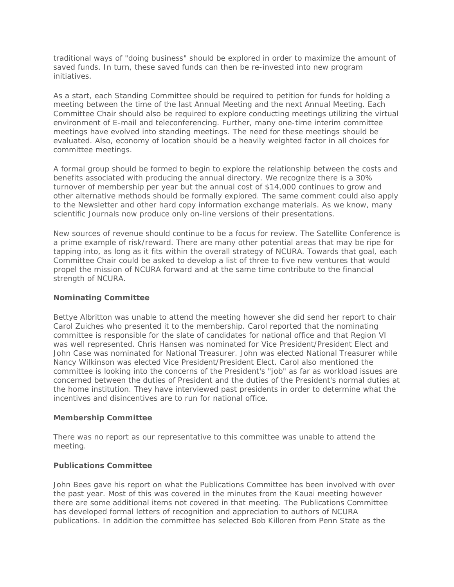traditional ways of "doing business" should be explored in order to maximize the amount of saved funds. In turn, these saved funds can then be re-invested into new program initiatives.

As a start, each Standing Committee should be required to petition for funds for holding a meeting between the time of the last Annual Meeting and the next Annual Meeting. Each Committee Chair should also be required to explore conducting meetings utilizing the virtual environment of E-mail and teleconferencing. Further, many one-time interim committee meetings have evolved into standing meetings. The need for these meetings should be evaluated. Also, economy of location should be a heavily weighted factor in all choices for committee meetings.

A formal group should be formed to begin to explore the relationship between the costs and benefits associated with producing the annual directory. We recognize there is a 30% turnover of membership per year but the annual cost of \$14,000 continues to grow and other alternative methods should be formally explored. The same comment could also apply to the Newsletter and other hard copy information exchange materials. As we know, many scientific Journals now produce only on-line versions of their presentations.

New sources of revenue should continue to be a focus for review. The Satellite Conference is a prime example of risk/reward. There are many other potential areas that may be ripe for tapping into, as long as it fits within the overall strategy of NCURA. Towards that goal, each Committee Chair could be asked to develop a list of three to five new ventures that would propel the mission of NCURA forward and at the same time contribute to the financial strength of NCURA.

## **Nominating Committee**

Bettye Albritton was unable to attend the meeting however she did send her report to chair Carol Zuiches who presented it to the membership. Carol reported that the nominating committee is responsible for the slate of candidates for national office and that Region VI was well represented. Chris Hansen was nominated for Vice President/President Elect and John Case was nominated for National Treasurer. John was elected National Treasurer while Nancy Wilkinson was elected Vice President/President Elect. Carol also mentioned the committee is looking into the concerns of the President's "job" as far as workload issues are concerned between the duties of President and the duties of the President's normal duties at the home institution. They have interviewed past presidents in order to determine what the incentives and disincentives are to run for national office.

## **Membership Committee**

There was no report as our representative to this committee was unable to attend the meeting.

## **Publications Committee**

John Bees gave his report on what the Publications Committee has been involved with over the past year. Most of this was covered in the minutes from the Kauai meeting however there are some additional items not covered in that meeting. The Publications Committee has developed formal letters of recognition and appreciation to authors of NCURA publications. In addition the committee has selected Bob Killoren from Penn State as the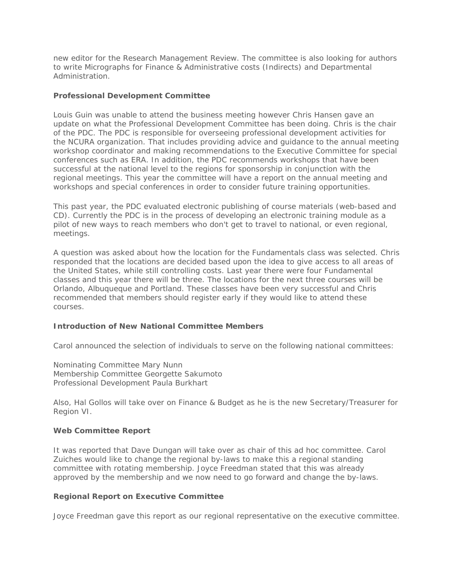new editor for the Research Management Review. The committee is also looking for authors to write Micrographs for Finance & Administrative costs (Indirects) and Departmental Administration.

#### **Professional Development Committee**

Louis Guin was unable to attend the business meeting however Chris Hansen gave an update on what the Professional Development Committee has been doing. Chris is the chair of the PDC. The PDC is responsible for overseeing professional development activities for the NCURA organization. That includes providing advice and guidance to the annual meeting workshop coordinator and making recommendations to the Executive Committee for special conferences such as ERA. In addition, the PDC recommends workshops that have been successful at the national level to the regions for sponsorship in conjunction with the regional meetings. This year the committee will have a report on the annual meeting and workshops and special conferences in order to consider future training opportunities.

This past year, the PDC evaluated electronic publishing of course materials (web-based and CD). Currently the PDC is in the process of developing an electronic training module as a pilot of new ways to reach members who don't get to travel to national, or even regional, meetings.

A question was asked about how the location for the Fundamentals class was selected. Chris responded that the locations are decided based upon the idea to give access to all areas of the United States, while still controlling costs. Last year there were four Fundamental classes and this year there will be three. The locations for the next three courses will be Orlando, Albuqueque and Portland. These classes have been very successful and Chris recommended that members should register early if they would like to attend these courses.

## **Introduction of New National Committee Members**

Carol announced the selection of individuals to serve on the following national committees:

Nominating Committee Mary Nunn Membership Committee Georgette Sakumoto Professional Development Paula Burkhart

Also, Hal Gollos will take over on Finance & Budget as he is the new Secretary/Treasurer for Region VI.

#### **Web Committee Report**

It was reported that Dave Dungan will take over as chair of this ad hoc committee. Carol Zuiches would like to change the regional by-laws to make this a regional standing committee with rotating membership. Joyce Freedman stated that this was already approved by the membership and we now need to go forward and change the by-laws.

#### **Regional Report on Executive Committee**

Joyce Freedman gave this report as our regional representative on the executive committee.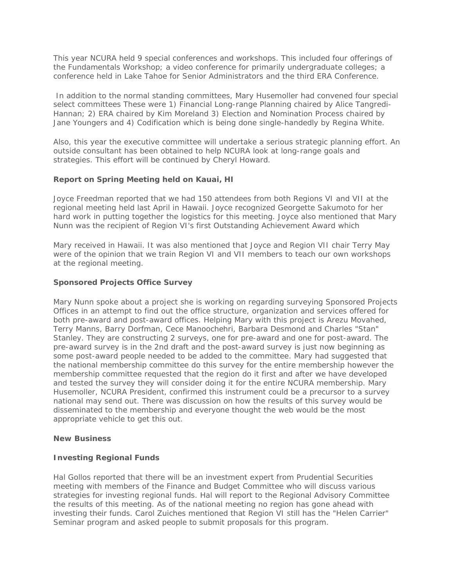This year NCURA held 9 special conferences and workshops. This included four offerings of the Fundamentals Workshop; a video conference for primarily undergraduate colleges; a conference held in Lake Tahoe for Senior Administrators and the third ERA Conference.

 In addition to the normal standing committees, Mary Husemoller had convened four special select committees These were 1) Financial Long-range Planning chaired by Alice Tangredi-Hannan; 2) ERA chaired by Kim Moreland 3) Election and Nomination Process chaired by Jane Youngers and 4) Codification which is being done single-handedly by Regina White.

Also, this year the executive committee will undertake a serious strategic planning effort. An outside consultant has been obtained to help NCURA look at long-range goals and strategies. This effort will be continued by Cheryl Howard.

# **Report on Spring Meeting held on Kauai, HI**

Joyce Freedman reported that we had 150 attendees from both Regions VI and VII at the regional meeting held last April in Hawaii. Joyce recognized Georgette Sakumoto for her hard work in putting together the logistics for this meeting. Joyce also mentioned that Mary Nunn was the recipient of Region VI's first Outstanding Achievement Award which

Mary received in Hawaii. It was also mentioned that Joyce and Region VII chair Terry May were of the opinion that we train Region VI and VII members to teach our own workshops at the regional meeting.

## **Sponsored Projects Office Survey**

Mary Nunn spoke about a project she is working on regarding surveying Sponsored Projects Offices in an attempt to find out the office structure, organization and services offered for both pre-award and post-award offices. Helping Mary with this project is Arezu Movahed, Terry Manns, Barry Dorfman, Cece Manoochehri, Barbara Desmond and Charles "Stan" Stanley. They are constructing 2 surveys, one for pre-award and one for post-award. The pre-award survey is in the 2nd draft and the post-award survey is just now beginning as some post-award people needed to be added to the committee. Mary had suggested that the national membership committee do this survey for the entire membership however the membership committee requested that the region do it first and after we have developed and tested the survey they will consider doing it for the entire NCURA membership. Mary Husemoller, NCURA President, confirmed this instrument could be a precursor to a survey national may send out. There was discussion on how the results of this survey would be disseminated to the membership and everyone thought the web would be the most appropriate vehicle to get this out.

## **New Business**

## **Investing Regional Funds**

Hal Gollos reported that there will be an investment expert from Prudential Securities meeting with members of the Finance and Budget Committee who will discuss various strategies for investing regional funds. Hal will report to the Regional Advisory Committee the results of this meeting. As of the national meeting no region has gone ahead with investing their funds. Carol Zuiches mentioned that Region VI still has the "Helen Carrier" Seminar program and asked people to submit proposals for this program.